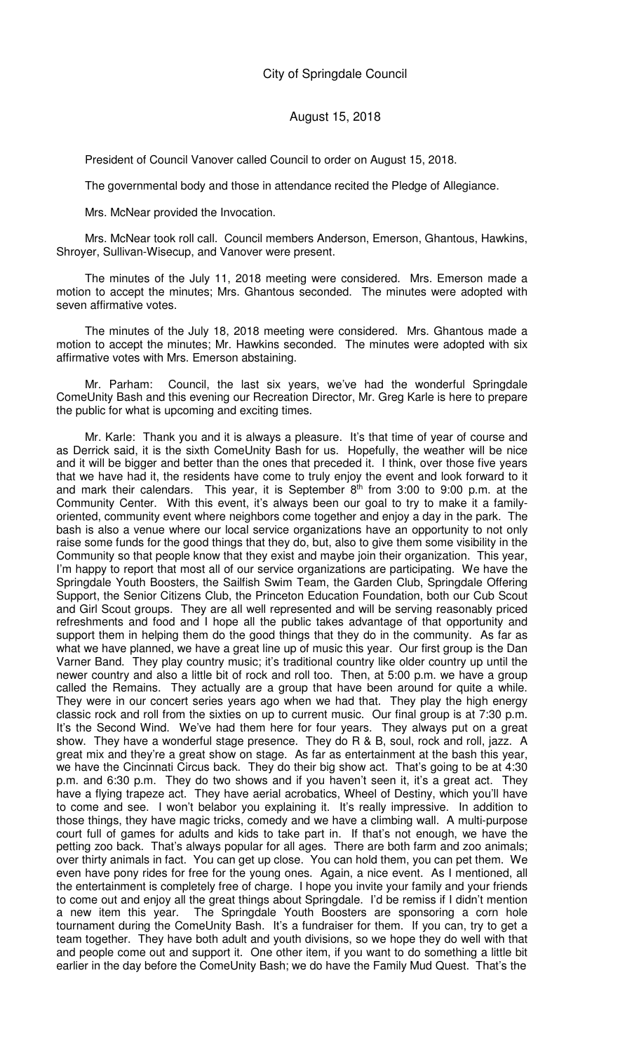President of Council Vanover called Council to order on August 15, 2018.

The governmental body and those in attendance recited the Pledge of Allegiance.

Mrs. McNear provided the Invocation.

Mrs. McNear took roll call. Council members Anderson, Emerson, Ghantous, Hawkins, Shroyer, Sullivan-Wisecup, and Vanover were present.

The minutes of the July 11, 2018 meeting were considered. Mrs. Emerson made a motion to accept the minutes; Mrs. Ghantous seconded. The minutes were adopted with seven affirmative votes.

The minutes of the July 18, 2018 meeting were considered. Mrs. Ghantous made a motion to accept the minutes; Mr. Hawkins seconded. The minutes were adopted with six affirmative votes with Mrs. Emerson abstaining.

Mr. Parham: Council, the last six years, we've had the wonderful Springdale ComeUnity Bash and this evening our Recreation Director, Mr. Greg Karle is here to prepare the public for what is upcoming and exciting times.

Mr. Karle: Thank you and it is always a pleasure. It's that time of year of course and as Derrick said, it is the sixth ComeUnity Bash for us. Hopefully, the weather will be nice and it will be bigger and better than the ones that preceded it. I think, over those five years that we have had it, the residents have come to truly enjoy the event and look forward to it and mark their calendars. This year, it is September  $8^{th}$  from 3:00 to 9:00 p.m. at the Community Center. With this event, it's always been our goal to try to make it a familyoriented, community event where neighbors come together and enjoy a day in the park. The bash is also a venue where our local service organizations have an opportunity to not only raise some funds for the good things that they do, but, also to give them some visibility in the Community so that people know that they exist and maybe join their organization. This year, I'm happy to report that most all of our service organizations are participating. We have the Springdale Youth Boosters, the Sailfish Swim Team, the Garden Club, Springdale Offering Support, the Senior Citizens Club, the Princeton Education Foundation, both our Cub Scout and Girl Scout groups. They are all well represented and will be serving reasonably priced refreshments and food and I hope all the public takes advantage of that opportunity and support them in helping them do the good things that they do in the community. As far as what we have planned, we have a great line up of music this year. Our first group is the Dan Varner Band. They play country music; it's traditional country like older country up until the newer country and also a little bit of rock and roll too. Then, at 5:00 p.m. we have a group called the Remains. They actually are a group that have been around for quite a while. They were in our concert series years ago when we had that. They play the high energy classic rock and roll from the sixties on up to current music. Our final group is at 7:30 p.m. It's the Second Wind. We've had them here for four years. They always put on a great show. They have a wonderful stage presence. They do R & B, soul, rock and roll, jazz. A great mix and they're a great show on stage. As far as entertainment at the bash this year, we have the Cincinnati Circus back. They do their big show act. That's going to be at 4:30 p.m. and 6:30 p.m. They do two shows and if you haven't seen it, it's a great act. They have a flying trapeze act. They have aerial acrobatics, Wheel of Destiny, which you'll have to come and see. I won't belabor you explaining it. It's really impressive. In addition to those things, they have magic tricks, comedy and we have a climbing wall. A multi-purpose court full of games for adults and kids to take part in. If that's not enough, we have the petting zoo back. That's always popular for all ages. There are both farm and zoo animals; over thirty animals in fact. You can get up close. You can hold them, you can pet them. We even have pony rides for free for the young ones. Again, a nice event. As I mentioned, all the entertainment is completely free of charge. I hope you invite your family and your friends to come out and enjoy all the great things about Springdale. I'd be remiss if I didn't mention a new item this year. The Springdale Youth Boosters are sponsoring a corn hole tournament during the ComeUnity Bash. It's a fundraiser for them. If you can, try to get a team together. They have both adult and youth divisions, so we hope they do well with that and people come out and support it. One other item, if you want to do something a little bit earlier in the day before the ComeUnity Bash; we do have the Family Mud Quest. That's the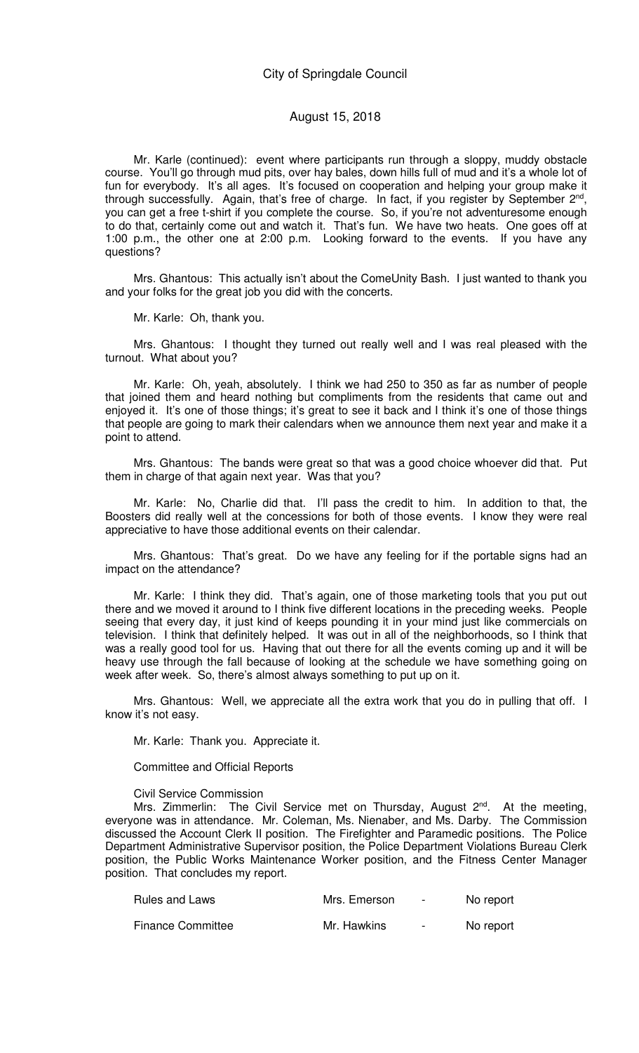Mr. Karle (continued): event where participants run through a sloppy, muddy obstacle course. You'll go through mud pits, over hay bales, down hills full of mud and it's a whole lot of fun for everybody. It's all ages. It's focused on cooperation and helping your group make it through successfully. Again, that's free of charge. In fact, if you register by September 2<sup>nd</sup>, you can get a free t-shirt if you complete the course. So, if you're not adventuresome enough to do that, certainly come out and watch it. That's fun. We have two heats. One goes off at 1:00 p.m., the other one at 2:00 p.m. Looking forward to the events. If you have any questions?

Mrs. Ghantous: This actually isn't about the ComeUnity Bash. I just wanted to thank you and your folks for the great job you did with the concerts.

Mr. Karle: Oh, thank you.

Mrs. Ghantous: I thought they turned out really well and I was real pleased with the turnout. What about you?

Mr. Karle: Oh, yeah, absolutely. I think we had 250 to 350 as far as number of people that joined them and heard nothing but compliments from the residents that came out and enjoyed it. It's one of those things; it's great to see it back and I think it's one of those things that people are going to mark their calendars when we announce them next year and make it a point to attend.

Mrs. Ghantous: The bands were great so that was a good choice whoever did that. Put them in charge of that again next year. Was that you?

Mr. Karle: No, Charlie did that. I'll pass the credit to him. In addition to that, the Boosters did really well at the concessions for both of those events. I know they were real appreciative to have those additional events on their calendar.

Mrs. Ghantous: That's great. Do we have any feeling for if the portable signs had an impact on the attendance?

Mr. Karle: I think they did. That's again, one of those marketing tools that you put out there and we moved it around to I think five different locations in the preceding weeks. People seeing that every day, it just kind of keeps pounding it in your mind just like commercials on television. I think that definitely helped. It was out in all of the neighborhoods, so I think that was a really good tool for us. Having that out there for all the events coming up and it will be heavy use through the fall because of looking at the schedule we have something going on week after week. So, there's almost always something to put up on it.

Mrs. Ghantous: Well, we appreciate all the extra work that you do in pulling that off. I know it's not easy.

Mr. Karle: Thank you. Appreciate it.

Committee and Official Reports

Civil Service Commission

Mrs. Zimmerlin: The Civil Service met on Thursday, August  $2^{nd}$ . At the meeting, everyone was in attendance. Mr. Coleman, Ms. Nienaber, and Ms. Darby. The Commission discussed the Account Clerk II position. The Firefighter and Paramedic positions. The Police Department Administrative Supervisor position, the Police Department Violations Bureau Clerk position, the Public Works Maintenance Worker position, and the Fitness Center Manager position. That concludes my report.

| <b>Rules and Laws</b>    | Mrs. Emerson | $\overline{\phantom{0}}$ | No report |
|--------------------------|--------------|--------------------------|-----------|
| <b>Finance Committee</b> | Mr. Hawkins  | $\overline{\phantom{0}}$ | No report |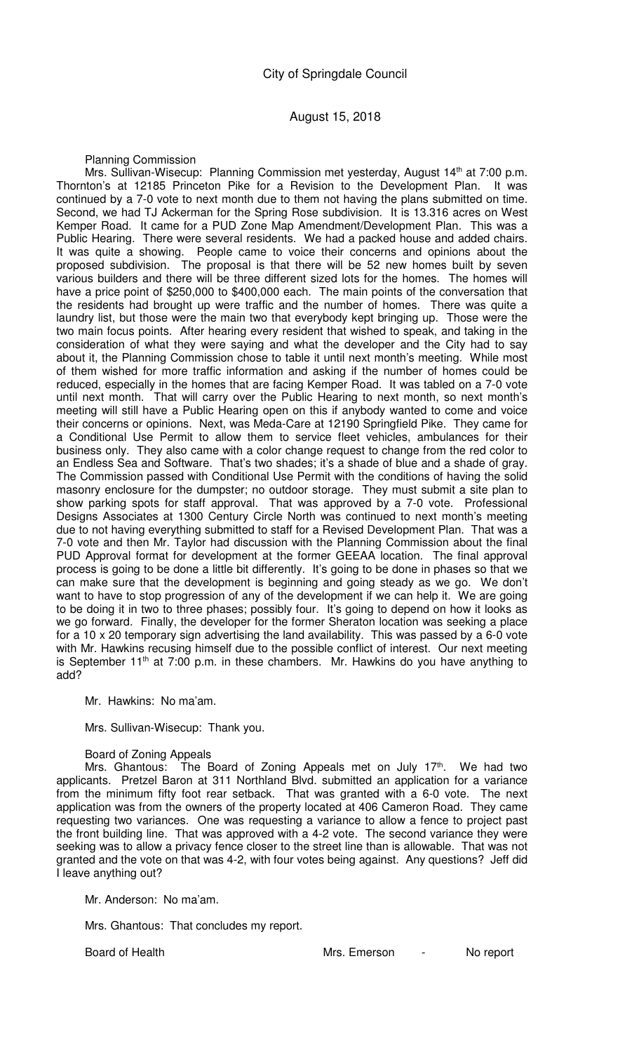Planning Commission

Mrs. Sullivan-Wisecup: Planning Commission met yesterday, August 14<sup>th</sup> at 7:00 p.m. Thornton's at 12185 Princeton Pike for a Revision to the Development Plan. It was continued by a 7-0 vote to next month due to them not having the plans submitted on time. Second, we had TJ Ackerman for the Spring Rose subdivision. It is 13.316 acres on West Kemper Road. It came for a PUD Zone Map Amendment/Development Plan. This was a Public Hearing. There were several residents. We had a packed house and added chairs. It was quite a showing. People came to voice their concerns and opinions about the proposed subdivision. The proposal is that there will be 52 new homes built by seven various builders and there will be three different sized lots for the homes. The homes will have a price point of \$250,000 to \$400,000 each. The main points of the conversation that the residents had brought up were traffic and the number of homes. There was quite a laundry list, but those were the main two that everybody kept bringing up. Those were the two main focus points. After hearing every resident that wished to speak, and taking in the consideration of what they were saying and what the developer and the City had to say about it, the Planning Commission chose to table it until next month's meeting. While most of them wished for more traffic information and asking if the number of homes could be reduced, especially in the homes that are facing Kemper Road. It was tabled on a 7-0 vote until next month. That will carry over the Public Hearing to next month, so next month's meeting will still have a Public Hearing open on this if anybody wanted to come and voice their concerns or opinions. Next, was Meda-Care at 12190 Springfield Pike. They came for a Conditional Use Permit to allow them to service fleet vehicles, ambulances for their business only. They also came with a color change request to change from the red color to an Endless Sea and Software. That's two shades; it's a shade of blue and a shade of gray. The Commission passed with Conditional Use Permit with the conditions of having the solid masonry enclosure for the dumpster; no outdoor storage. They must submit a site plan to show parking spots for staff approval. That was approved by a 7-0 vote. Professional Designs Associates at 1300 Century Circle North was continued to next month's meeting due to not having everything submitted to staff for a Revised Development Plan. That was a 7-0 vote and then Mr. Taylor had discussion with the Planning Commission about the final PUD Approval format for development at the former GEEAA location. The final approval process is going to be done a little bit differently. It's going to be done in phases so that we can make sure that the development is beginning and going steady as we go. We don't want to have to stop progression of any of the development if we can help it. We are going to be doing it in two to three phases; possibly four. It's going to depend on how it looks as we go forward. Finally, the developer for the former Sheraton location was seeking a place for a 10 x 20 temporary sign advertising the land availability. This was passed by a 6-0 vote with Mr. Hawkins recusing himself due to the possible conflict of interest. Our next meeting is September 11<sup>th</sup> at 7:00 p.m. in these chambers. Mr. Hawkins do you have anything to add?

Mr. Hawkins: No ma'am.

Mrs. Sullivan-Wisecup: Thank you.

### Board of Zoning Appeals

Mrs. Ghantous: The Board of Zoning Appeals met on July 17<sup>th</sup>. We had two applicants. Pretzel Baron at 311 Northland Blvd. submitted an application for a variance from the minimum fifty foot rear setback. That was granted with a 6-0 vote. The next application was from the owners of the property located at 406 Cameron Road. They came requesting two variances. One was requesting a variance to allow a fence to project past the front building line. That was approved with a 4-2 vote. The second variance they were seeking was to allow a privacy fence closer to the street line than is allowable. That was not granted and the vote on that was 4-2, with four votes being against. Any questions? Jeff did I leave anything out?

Mr. Anderson: No ma'am.

Mrs. Ghantous: That concludes my report.

Board of Health Mrs. Emerson - No report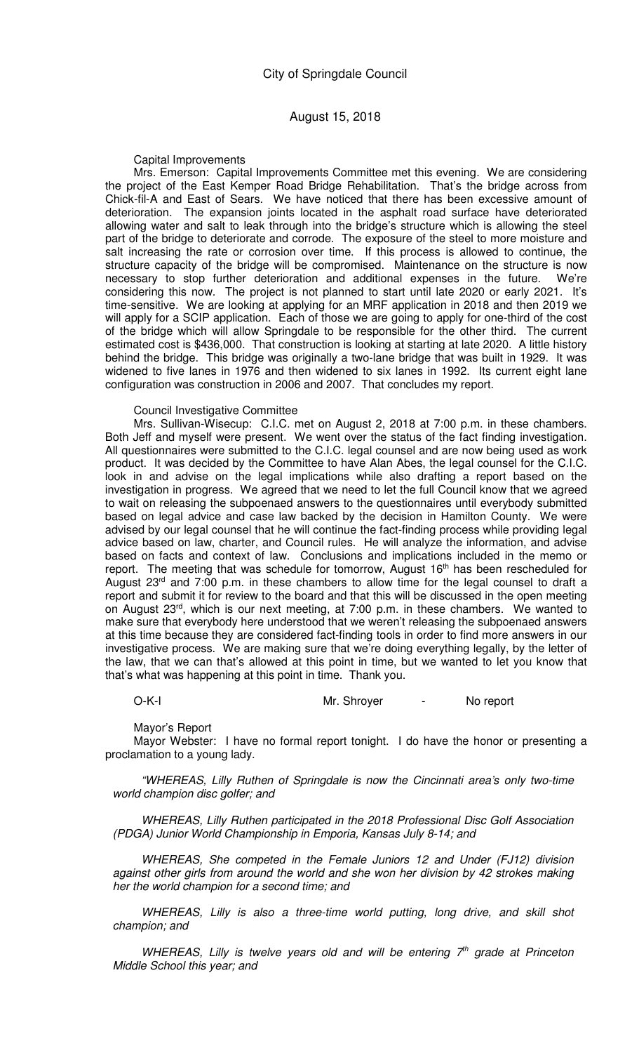Capital Improvements

Mrs. Emerson: Capital Improvements Committee met this evening. We are considering the project of the East Kemper Road Bridge Rehabilitation. That's the bridge across from Chick-fil-A and East of Sears. We have noticed that there has been excessive amount of deterioration. The expansion joints located in the asphalt road surface have deteriorated allowing water and salt to leak through into the bridge's structure which is allowing the steel part of the bridge to deteriorate and corrode. The exposure of the steel to more moisture and salt increasing the rate or corrosion over time. If this process is allowed to continue, the structure capacity of the bridge will be compromised. Maintenance on the structure is now necessary to stop further deterioration and additional expenses in the future. We're considering this now. The project is not planned to start until late 2020 or early 2021. It's time-sensitive. We are looking at applying for an MRF application in 2018 and then 2019 we will apply for a SCIP application. Each of those we are going to apply for one-third of the cost of the bridge which will allow Springdale to be responsible for the other third. The current estimated cost is \$436,000. That construction is looking at starting at late 2020. A little history behind the bridge. This bridge was originally a two-lane bridge that was built in 1929. It was widened to five lanes in 1976 and then widened to six lanes in 1992. Its current eight lane configuration was construction in 2006 and 2007. That concludes my report.

Council Investigative Committee

Mrs. Sullivan-Wisecup: C.I.C. met on August 2, 2018 at 7:00 p.m. in these chambers. Both Jeff and myself were present. We went over the status of the fact finding investigation. All questionnaires were submitted to the C.I.C. legal counsel and are now being used as work product. It was decided by the Committee to have Alan Abes, the legal counsel for the C.I.C. look in and advise on the legal implications while also drafting a report based on the investigation in progress. We agreed that we need to let the full Council know that we agreed to wait on releasing the subpoenaed answers to the questionnaires until everybody submitted based on legal advice and case law backed by the decision in Hamilton County. We were advised by our legal counsel that he will continue the fact-finding process while providing legal advice based on law, charter, and Council rules. He will analyze the information, and advise based on facts and context of law. Conclusions and implications included in the memo or report. The meeting that was schedule for tomorrow, August 16<sup>th</sup> has been rescheduled for August  $23<sup>rd</sup>$  and  $7:00$  p.m. in these chambers to allow time for the legal counsel to draft a report and submit it for review to the board and that this will be discussed in the open meeting on August 23rd, which is our next meeting, at 7:00 p.m. in these chambers. We wanted to make sure that everybody here understood that we weren't releasing the subpoenaed answers at this time because they are considered fact-finding tools in order to find more answers in our investigative process. We are making sure that we're doing everything legally, by the letter of the law, that we can that's allowed at this point in time, but we wanted to let you know that that's what was happening at this point in time. Thank you.

O-K-I Mr. Shroyer - No report

Mayor's Report

Mayor Webster: I have no formal report tonight. I do have the honor or presenting a proclamation to a young lady.

"WHEREAS, Lilly Ruthen of Springdale is now the Cincinnati area's only two-time world champion disc golfer; and

WHEREAS, Lilly Ruthen participated in the 2018 Professional Disc Golf Association (PDGA) Junior World Championship in Emporia, Kansas July 8-14; and

WHEREAS, She competed in the Female Juniors 12 and Under (FJ12) division against other girls from around the world and she won her division by 42 strokes making her the world champion for a second time; and

WHEREAS, Lilly is also a three-time world putting, long drive, and skill shot champion; and

WHEREAS, Lilly is twelve years old and will be entering  $7<sup>th</sup>$  grade at Princeton Middle School this year; and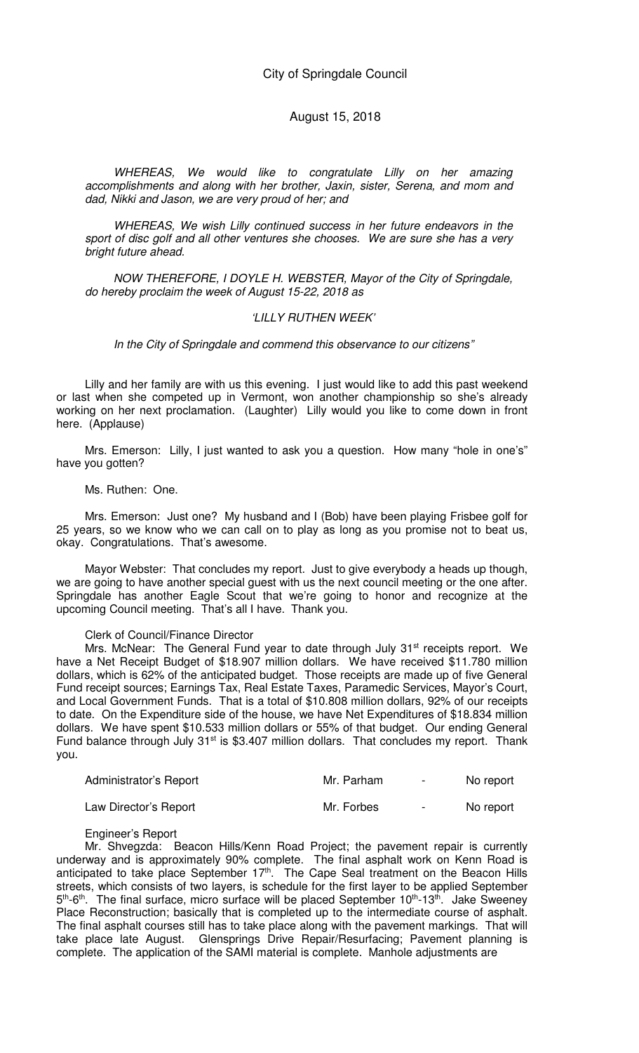WHEREAS, We would like to congratulate Lilly on her amazing accomplishments and along with her brother, Jaxin, sister, Serena, and mom and dad, Nikki and Jason, we are very proud of her; and

WHEREAS, We wish Lilly continued success in her future endeavors in the sport of disc golf and all other ventures she chooses. We are sure she has a very bright future ahead.

NOW THEREFORE, I DOYLE H. WEBSTER, Mayor of the City of Springdale, do hereby proclaim the week of August 15-22, 2018 as

### 'LILLY RUTHEN WEEK'

In the City of Springdale and commend this observance to our citizens"

Lilly and her family are with us this evening. I just would like to add this past weekend or last when she competed up in Vermont, won another championship so she's already working on her next proclamation. (Laughter) Lilly would you like to come down in front here. (Applause)

Mrs. Emerson: Lilly, I just wanted to ask you a question. How many "hole in one's" have you gotten?

#### Ms. Ruthen: One.

Mrs. Emerson: Just one? My husband and I (Bob) have been playing Frisbee golf for 25 years, so we know who we can call on to play as long as you promise not to beat us, okay. Congratulations. That's awesome.

Mayor Webster: That concludes my report. Just to give everybody a heads up though, we are going to have another special guest with us the next council meeting or the one after. Springdale has another Eagle Scout that we're going to honor and recognize at the upcoming Council meeting. That's all I have. Thank you.

#### Clerk of Council/Finance Director

Mrs. McNear: The General Fund year to date through July 31<sup>st</sup> receipts report. We have a Net Receipt Budget of \$18.907 million dollars. We have received \$11.780 million dollars, which is 62% of the anticipated budget. Those receipts are made up of five General Fund receipt sources; Earnings Tax, Real Estate Taxes, Paramedic Services, Mayor's Court, and Local Government Funds. That is a total of \$10.808 million dollars, 92% of our receipts to date. On the Expenditure side of the house, we have Net Expenditures of \$18.834 million dollars. We have spent \$10.533 million dollars or 55% of that budget. Our ending General Fund balance through July 31<sup>st</sup> is \$3.407 million dollars. That concludes my report. Thank you.

| Administrator's Report | Mr. Parham | $\blacksquare$ | No report |
|------------------------|------------|----------------|-----------|
| Law Director's Report  | Mr. Forbes | $\blacksquare$ | No report |

### Engineer's Report

Mr. Shvegzda: Beacon Hills/Kenn Road Project; the pavement repair is currently underway and is approximately 90% complete. The final asphalt work on Kenn Road is anticipated to take place September  $17<sup>th</sup>$ . The Cape Seal treatment on the Beacon Hills streets, which consists of two layers, is schedule for the first layer to be applied September 5<sup>th</sup>-6<sup>th</sup>. The final surface, micro surface will be placed September 10<sup>th</sup>-13<sup>th</sup>. Jake Sweeney Place Reconstruction; basically that is completed up to the intermediate course of asphalt. The final asphalt courses still has to take place along with the pavement markings. That will take place late August. Glensprings Drive Repair/Resurfacing; Pavement planning is complete. The application of the SAMI material is complete. Manhole adjustments are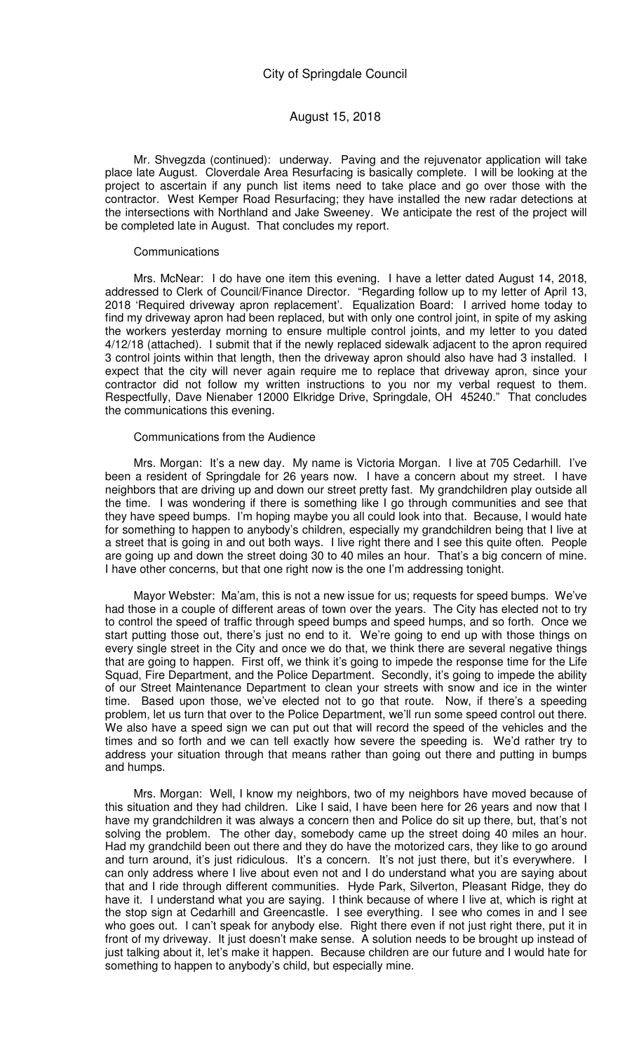Mr. Shvegzda (continued): underway. Paving and the rejuvenator application will take place late August. Cloverdale Area Resurfacing is basically complete. I will be looking at the project to ascertain if any punch list items need to take place and go over those with the contractor. West Kemper Road Resurfacing; they have installed the new radar detections at the intersections with Northland and Jake Sweeney. We anticipate the rest of the project will be completed late in August. That concludes my report.

#### **Communications**

Mrs. McNear: I do have one item this evening. I have a letter dated August 14, 2018, addressed to Clerk of Council/Finance Director. "Regarding follow up to my letter of April 13, 2018 'Required driveway apron replacement'. Equalization Board: I arrived home today to find my driveway apron had been replaced, but with only one control joint, in spite of my asking the workers yesterday morning to ensure multiple control joints, and my letter to you dated 4/12/18 (attached). I submit that if the newly replaced sidewalk adjacent to the apron required 3 control joints within that length, then the driveway apron should also have had 3 installed. I expect that the city will never again require me to replace that driveway apron, since your contractor did not follow my written instructions to you nor my verbal request to them. Respectfully, Dave Nienaber 12000 Elkridge Drive, Springdale, OH 45240." That concludes the communications this evening.

#### Communications from the Audience

Mrs. Morgan: It's a new day. My name is Victoria Morgan. I live at 705 Cedarhill. I've been a resident of Springdale for 26 years now. I have a concern about my street. I have neighbors that are driving up and down our street pretty fast. My grandchildren play outside all the time. I was wondering if there is something like I go through communities and see that they have speed bumps. I'm hoping maybe you all could look into that. Because, I would hate for something to happen to anybody's children, especially my grandchildren being that I live at a street that is going in and out both ways. I live right there and I see this quite often. People are going up and down the street doing 30 to 40 miles an hour. That's a big concern of mine. I have other concerns, but that one right now is the one I'm addressing tonight.

Mayor Webster: Ma'am, this is not a new issue for us; requests for speed bumps. We've had those in a couple of different areas of town over the years. The City has elected not to try to control the speed of traffic through speed bumps and speed humps, and so forth. Once we start putting those out, there's just no end to it. We're going to end up with those things on every single street in the City and once we do that, we think there are several negative things that are going to happen. First off, we think it's going to impede the response time for the Life Squad, Fire Department, and the Police Department. Secondly, it's going to impede the ability of our Street Maintenance Department to clean your streets with snow and ice in the winter time. Based upon those, we've elected not to go that route. Now, if there's a speeding problem, let us turn that over to the Police Department, we'll run some speed control out there. We also have a speed sign we can put out that will record the speed of the vehicles and the times and so forth and we can tell exactly how severe the speeding is. We'd rather try to address your situation through that means rather than going out there and putting in bumps and humps.

Mrs. Morgan: Well, I know my neighbors, two of my neighbors have moved because of this situation and they had children. Like I said, I have been here for 26 years and now that I have my grandchildren it was always a concern then and Police do sit up there, but, that's not solving the problem. The other day, somebody came up the street doing 40 miles an hour. Had my grandchild been out there and they do have the motorized cars, they like to go around and turn around, it's just ridiculous. It's a concern. It's not just there, but it's everywhere. I can only address where I live about even not and I do understand what you are saying about that and I ride through different communities. Hyde Park, Silverton, Pleasant Ridge, they do have it. I understand what you are saying. I think because of where I live at, which is right at the stop sign at Cedarhill and Greencastle. I see everything. I see who comes in and I see who goes out. I can't speak for anybody else. Right there even if not just right there, put it in front of my driveway. It just doesn't make sense. A solution needs to be brought up instead of just talking about it, let's make it happen. Because children are our future and I would hate for something to happen to anybody's child, but especially mine.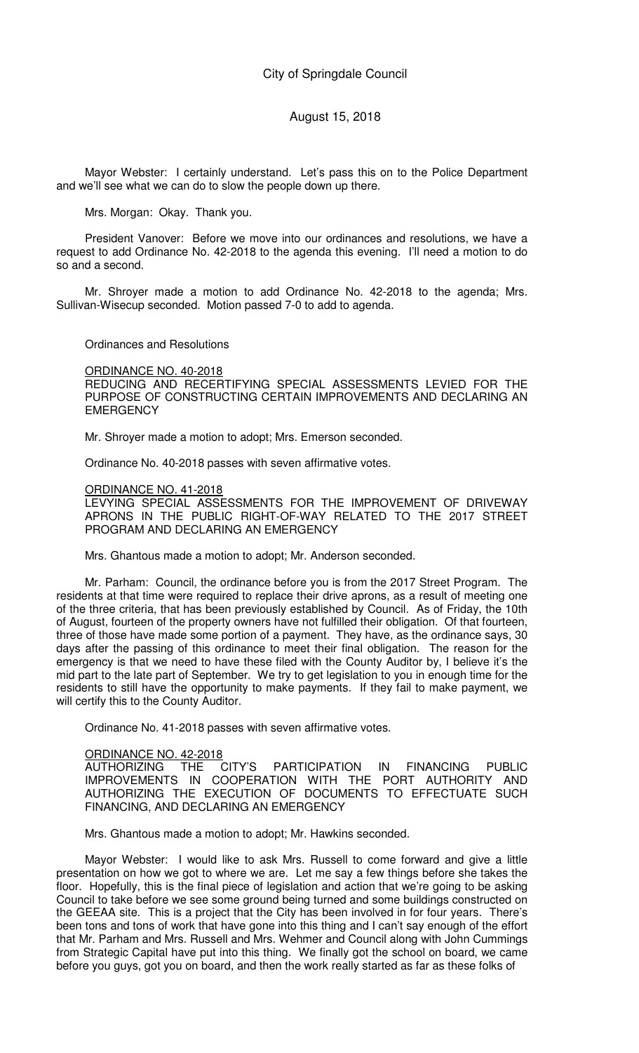Mayor Webster: I certainly understand. Let's pass this on to the Police Department and we'll see what we can do to slow the people down up there.

Mrs. Morgan: Okay. Thank you.

President Vanover: Before we move into our ordinances and resolutions, we have a request to add Ordinance No. 42-2018 to the agenda this evening. I'll need a motion to do so and a second.

Mr. Shroyer made a motion to add Ordinance No. 42-2018 to the agenda; Mrs. Sullivan-Wisecup seconded. Motion passed 7-0 to add to agenda.

Ordinances and Resolutions

ORDINANCE NO. 40-2018

REDUCING AND RECERTIFYING SPECIAL ASSESSMENTS LEVIED FOR THE PURPOSE OF CONSTRUCTING CERTAIN IMPROVEMENTS AND DECLARING AN **EMERGENCY** 

Mr. Shroyer made a motion to adopt; Mrs. Emerson seconded.

Ordinance No. 40-2018 passes with seven affirmative votes.

### ORDINANCE NO. 41-2018

LEVYING SPECIAL ASSESSMENTS FOR THE IMPROVEMENT OF DRIVEWAY APRONS IN THE PUBLIC RIGHT-OF-WAY RELATED TO THE 2017 STREET PROGRAM AND DECLARING AN EMERGENCY

Mrs. Ghantous made a motion to adopt; Mr. Anderson seconded.

Mr. Parham: Council, the ordinance before you is from the 2017 Street Program. The residents at that time were required to replace their drive aprons, as a result of meeting one of the three criteria, that has been previously established by Council. As of Friday, the 10th of August, fourteen of the property owners have not fulfilled their obligation. Of that fourteen, three of those have made some portion of a payment. They have, as the ordinance says, 30 days after the passing of this ordinance to meet their final obligation. The reason for the emergency is that we need to have these filed with the County Auditor by, I believe it's the mid part to the late part of September. We try to get legislation to you in enough time for the residents to still have the opportunity to make payments. If they fail to make payment, we will certify this to the County Auditor.

Ordinance No. 41-2018 passes with seven affirmative votes.

## ORDINANCE NO. 42-2018

AUTHORIZING THE CITY'S PARTICIPATION IN FINANCING PUBLIC IMPROVEMENTS IN COOPERATION WITH THE PORT AUTHORITY AND AUTHORIZING THE EXECUTION OF DOCUMENTS TO EFFECTUATE SUCH FINANCING, AND DECLARING AN EMERGENCY

Mrs. Ghantous made a motion to adopt; Mr. Hawkins seconded.

Mayor Webster: I would like to ask Mrs. Russell to come forward and give a little presentation on how we got to where we are. Let me say a few things before she takes the floor. Hopefully, this is the final piece of legislation and action that we're going to be asking Council to take before we see some ground being turned and some buildings constructed on the GEEAA site. This is a project that the City has been involved in for four years. There's been tons and tons of work that have gone into this thing and I can't say enough of the effort that Mr. Parham and Mrs. Russell and Mrs. Wehmer and Council along with John Cummings from Strategic Capital have put into this thing. We finally got the school on board, we came before you guys, got you on board, and then the work really started as far as these folks of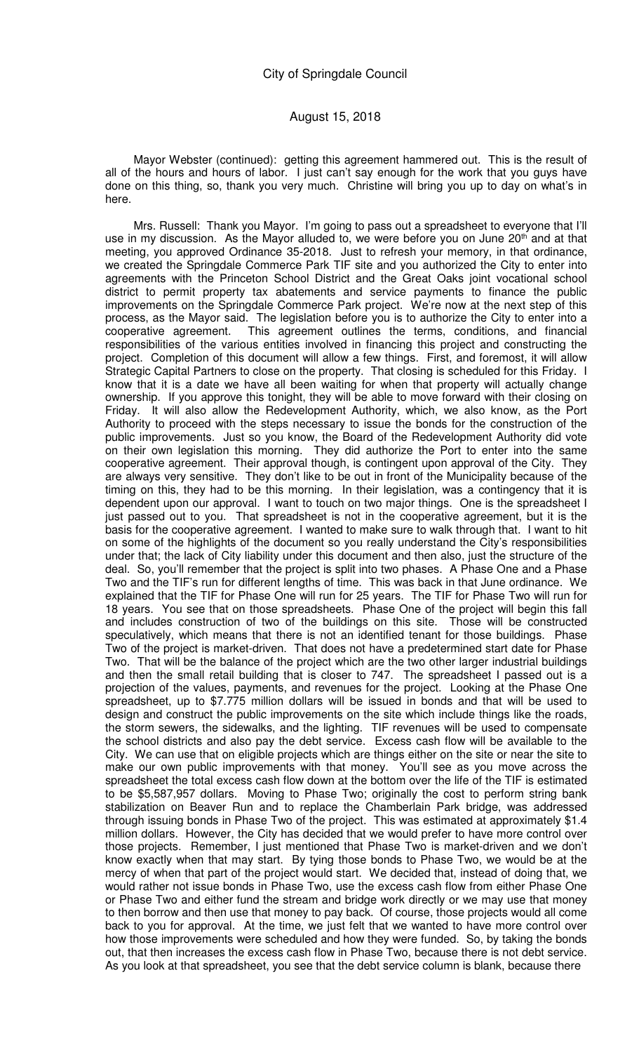Mayor Webster (continued): getting this agreement hammered out. This is the result of all of the hours and hours of labor. I just can't say enough for the work that you guys have done on this thing, so, thank you very much. Christine will bring you up to day on what's in here.

Mrs. Russell: Thank you Mayor. I'm going to pass out a spreadsheet to everyone that I'll use in my discussion. As the Mayor alluded to, we were before you on June  $20<sup>th</sup>$  and at that meeting, you approved Ordinance 35-2018. Just to refresh your memory, in that ordinance, we created the Springdale Commerce Park TIF site and you authorized the City to enter into agreements with the Princeton School District and the Great Oaks joint vocational school district to permit property tax abatements and service payments to finance the public improvements on the Springdale Commerce Park project. We're now at the next step of this process, as the Mayor said. The legislation before you is to authorize the City to enter into a cooperative agreement. This agreement outlines the terms, conditions, and financial responsibilities of the various entities involved in financing this project and constructing the project. Completion of this document will allow a few things. First, and foremost, it will allow Strategic Capital Partners to close on the property. That closing is scheduled for this Friday. I know that it is a date we have all been waiting for when that property will actually change ownership. If you approve this tonight, they will be able to move forward with their closing on Friday. It will also allow the Redevelopment Authority, which, we also know, as the Port Authority to proceed with the steps necessary to issue the bonds for the construction of the public improvements. Just so you know, the Board of the Redevelopment Authority did vote on their own legislation this morning. They did authorize the Port to enter into the same cooperative agreement. Their approval though, is contingent upon approval of the City. They are always very sensitive. They don't like to be out in front of the Municipality because of the timing on this, they had to be this morning. In their legislation, was a contingency that it is dependent upon our approval. I want to touch on two major things. One is the spreadsheet I just passed out to you. That spreadsheet is not in the cooperative agreement, but it is the basis for the cooperative agreement. I wanted to make sure to walk through that. I want to hit on some of the highlights of the document so you really understand the City's responsibilities under that; the lack of City liability under this document and then also, just the structure of the deal. So, you'll remember that the project is split into two phases. A Phase One and a Phase Two and the TIF's run for different lengths of time. This was back in that June ordinance. We explained that the TIF for Phase One will run for 25 years. The TIF for Phase Two will run for 18 years. You see that on those spreadsheets. Phase One of the project will begin this fall and includes construction of two of the buildings on this site. Those will be constructed speculatively, which means that there is not an identified tenant for those buildings. Phase Two of the project is market-driven. That does not have a predetermined start date for Phase Two. That will be the balance of the project which are the two other larger industrial buildings and then the small retail building that is closer to 747. The spreadsheet I passed out is a projection of the values, payments, and revenues for the project. Looking at the Phase One spreadsheet, up to \$7.775 million dollars will be issued in bonds and that will be used to design and construct the public improvements on the site which include things like the roads, the storm sewers, the sidewalks, and the lighting. TIF revenues will be used to compensate the school districts and also pay the debt service. Excess cash flow will be available to the City. We can use that on eligible projects which are things either on the site or near the site to make our own public improvements with that money. You'll see as you move across the spreadsheet the total excess cash flow down at the bottom over the life of the TIF is estimated to be \$5,587,957 dollars. Moving to Phase Two; originally the cost to perform string bank stabilization on Beaver Run and to replace the Chamberlain Park bridge, was addressed through issuing bonds in Phase Two of the project. This was estimated at approximately \$1.4 million dollars. However, the City has decided that we would prefer to have more control over those projects. Remember, I just mentioned that Phase Two is market-driven and we don't know exactly when that may start. By tying those bonds to Phase Two, we would be at the mercy of when that part of the project would start. We decided that, instead of doing that, we would rather not issue bonds in Phase Two, use the excess cash flow from either Phase One or Phase Two and either fund the stream and bridge work directly or we may use that money to then borrow and then use that money to pay back. Of course, those projects would all come back to you for approval. At the time, we just felt that we wanted to have more control over how those improvements were scheduled and how they were funded. So, by taking the bonds out, that then increases the excess cash flow in Phase Two, because there is not debt service. As you look at that spreadsheet, you see that the debt service column is blank, because there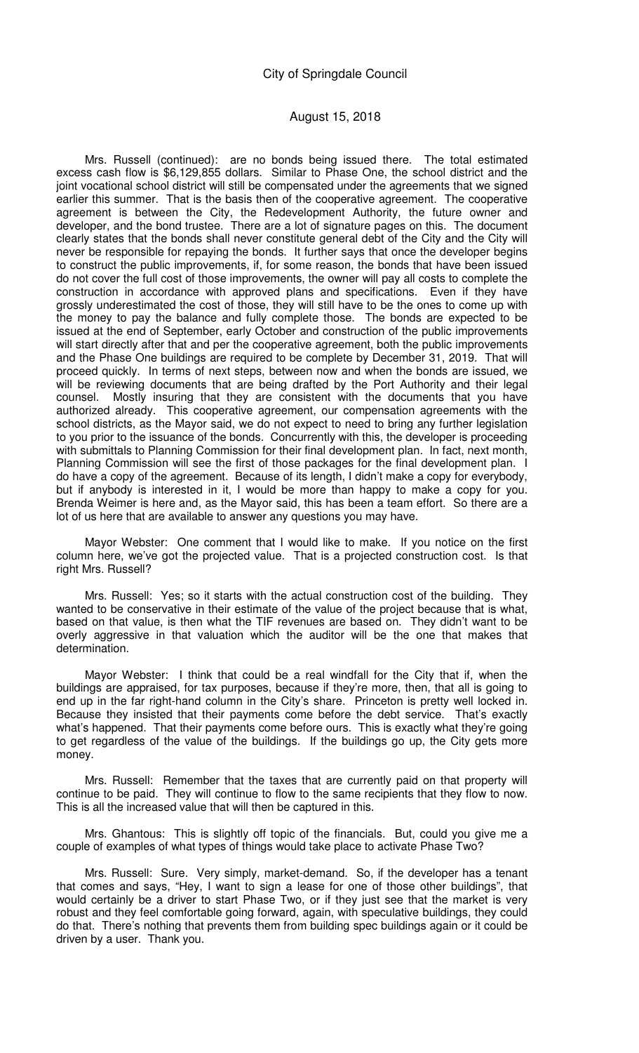Mrs. Russell (continued): are no bonds being issued there. The total estimated excess cash flow is \$6,129,855 dollars. Similar to Phase One, the school district and the joint vocational school district will still be compensated under the agreements that we signed earlier this summer. That is the basis then of the cooperative agreement. The cooperative agreement is between the City, the Redevelopment Authority, the future owner and developer, and the bond trustee. There are a lot of signature pages on this. The document clearly states that the bonds shall never constitute general debt of the City and the City will never be responsible for repaying the bonds. It further says that once the developer begins to construct the public improvements, if, for some reason, the bonds that have been issued do not cover the full cost of those improvements, the owner will pay all costs to complete the construction in accordance with approved plans and specifications. Even if they have grossly underestimated the cost of those, they will still have to be the ones to come up with the money to pay the balance and fully complete those. The bonds are expected to be issued at the end of September, early October and construction of the public improvements will start directly after that and per the cooperative agreement, both the public improvements and the Phase One buildings are required to be complete by December 31, 2019. That will proceed quickly. In terms of next steps, between now and when the bonds are issued, we will be reviewing documents that are being drafted by the Port Authority and their legal counsel. Mostly insuring that they are consistent with the documents that you have authorized already. This cooperative agreement, our compensation agreements with the school districts, as the Mayor said, we do not expect to need to bring any further legislation to you prior to the issuance of the bonds. Concurrently with this, the developer is proceeding with submittals to Planning Commission for their final development plan. In fact, next month, Planning Commission will see the first of those packages for the final development plan. I do have a copy of the agreement. Because of its length, I didn't make a copy for everybody, but if anybody is interested in it, I would be more than happy to make a copy for you. Brenda Weimer is here and, as the Mayor said, this has been a team effort. So there are a lot of us here that are available to answer any questions you may have.

Mayor Webster: One comment that I would like to make. If you notice on the first column here, we've got the projected value. That is a projected construction cost. Is that right Mrs. Russell?

Mrs. Russell: Yes; so it starts with the actual construction cost of the building. They wanted to be conservative in their estimate of the value of the project because that is what, based on that value, is then what the TIF revenues are based on. They didn't want to be overly aggressive in that valuation which the auditor will be the one that makes that determination.

Mayor Webster: I think that could be a real windfall for the City that if, when the buildings are appraised, for tax purposes, because if they're more, then, that all is going to end up in the far right-hand column in the City's share. Princeton is pretty well locked in. Because they insisted that their payments come before the debt service. That's exactly what's happened. That their payments come before ours. This is exactly what they're going to get regardless of the value of the buildings. If the buildings go up, the City gets more money.

Mrs. Russell: Remember that the taxes that are currently paid on that property will continue to be paid. They will continue to flow to the same recipients that they flow to now. This is all the increased value that will then be captured in this.

Mrs. Ghantous: This is slightly off topic of the financials. But, could you give me a couple of examples of what types of things would take place to activate Phase Two?

Mrs. Russell: Sure. Very simply, market-demand. So, if the developer has a tenant that comes and says, "Hey, I want to sign a lease for one of those other buildings", that would certainly be a driver to start Phase Two, or if they just see that the market is very robust and they feel comfortable going forward, again, with speculative buildings, they could do that. There's nothing that prevents them from building spec buildings again or it could be driven by a user. Thank you.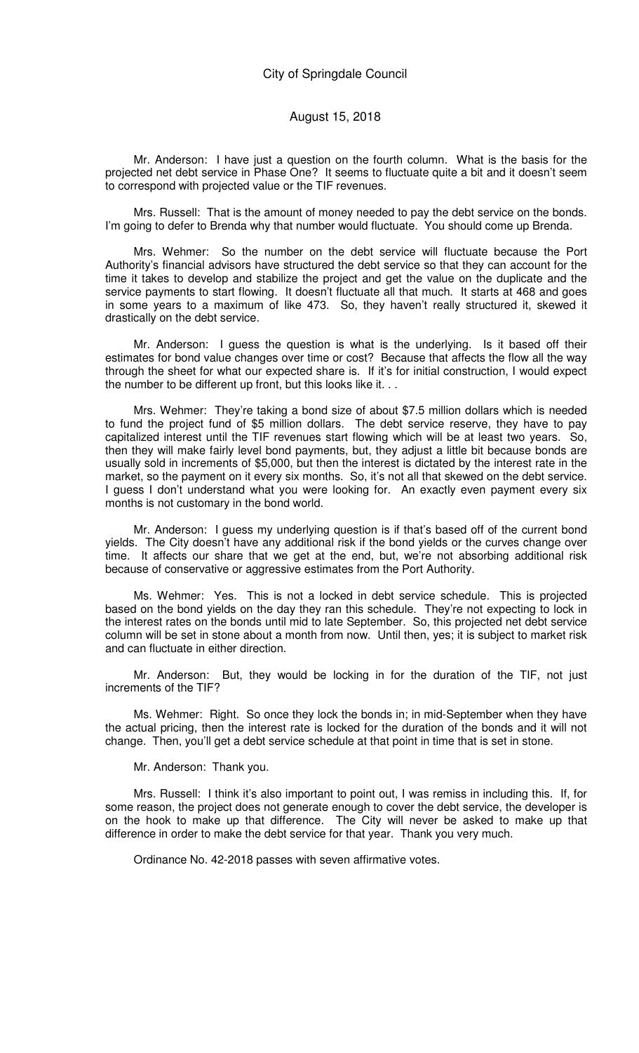Mr. Anderson: I have just a question on the fourth column. What is the basis for the projected net debt service in Phase One? It seems to fluctuate quite a bit and it doesn't seem to correspond with projected value or the TIF revenues.

Mrs. Russell: That is the amount of money needed to pay the debt service on the bonds. I'm going to defer to Brenda why that number would fluctuate. You should come up Brenda.

Mrs. Wehmer: So the number on the debt service will fluctuate because the Port Authority's financial advisors have structured the debt service so that they can account for the time it takes to develop and stabilize the project and get the value on the duplicate and the service payments to start flowing. It doesn't fluctuate all that much. It starts at 468 and goes in some years to a maximum of like 473. So, they haven't really structured it, skewed it drastically on the debt service.

Mr. Anderson: I guess the question is what is the underlying. Is it based off their estimates for bond value changes over time or cost? Because that affects the flow all the way through the sheet for what our expected share is. If it's for initial construction, I would expect the number to be different up front, but this looks like it. . .

Mrs. Wehmer: They're taking a bond size of about \$7.5 million dollars which is needed to fund the project fund of \$5 million dollars. The debt service reserve, they have to pay capitalized interest until the TIF revenues start flowing which will be at least two years. So, then they will make fairly level bond payments, but, they adjust a little bit because bonds are usually sold in increments of \$5,000, but then the interest is dictated by the interest rate in the market, so the payment on it every six months. So, it's not all that skewed on the debt service. I guess I don't understand what you were looking for. An exactly even payment every six months is not customary in the bond world.

Mr. Anderson: I guess my underlying question is if that's based off of the current bond yields. The City doesn't have any additional risk if the bond yields or the curves change over time. It affects our share that we get at the end, but, we're not absorbing additional risk because of conservative or aggressive estimates from the Port Authority.

Ms. Wehmer: Yes. This is not a locked in debt service schedule. This is projected based on the bond yields on the day they ran this schedule. They're not expecting to lock in the interest rates on the bonds until mid to late September. So, this projected net debt service column will be set in stone about a month from now. Until then, yes; it is subject to market risk and can fluctuate in either direction.

Mr. Anderson: But, they would be locking in for the duration of the TIF, not just increments of the TIF?

Ms. Wehmer: Right. So once they lock the bonds in; in mid-September when they have the actual pricing, then the interest rate is locked for the duration of the bonds and it will not change. Then, you'll get a debt service schedule at that point in time that is set in stone.

#### Mr. Anderson: Thank you.

Mrs. Russell: I think it's also important to point out, I was remiss in including this. If, for some reason, the project does not generate enough to cover the debt service, the developer is on the hook to make up that difference. The City will never be asked to make up that difference in order to make the debt service for that year. Thank you very much.

Ordinance No. 42-2018 passes with seven affirmative votes.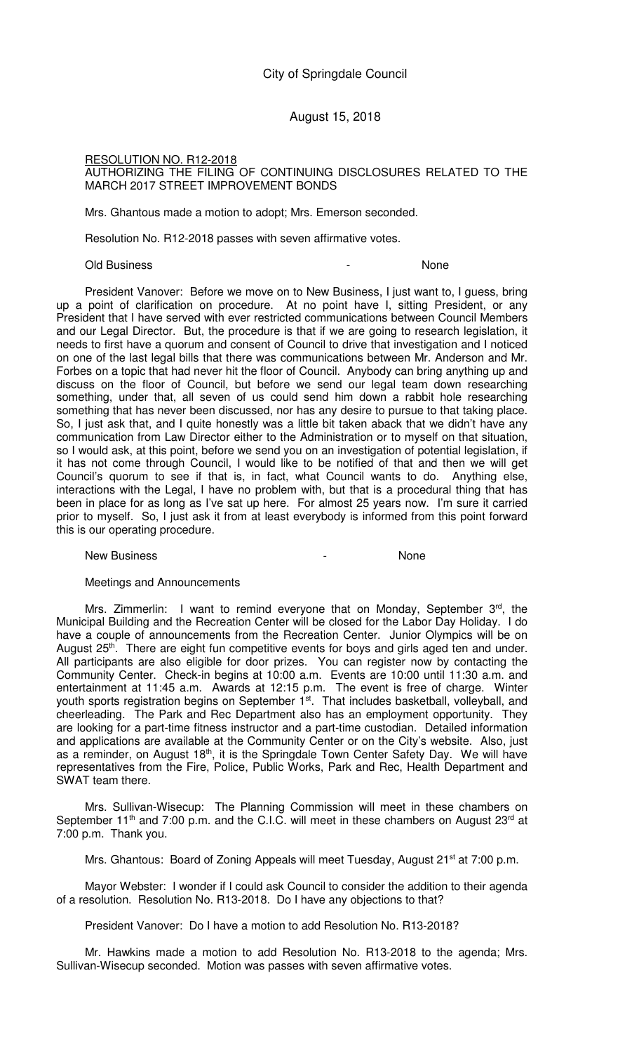### RESOLUTION NO. R12-2018 AUTHORIZING THE FILING OF CONTINUING DISCLOSURES RELATED TO THE MARCH 2017 STREET IMPROVEMENT BONDS

Mrs. Ghantous made a motion to adopt; Mrs. Emerson seconded.

Resolution No. R12-2018 passes with seven affirmative votes.

#### Old Business - None

President Vanover: Before we move on to New Business, I just want to, I guess, bring up a point of clarification on procedure. At no point have I, sitting President, or any President that I have served with ever restricted communications between Council Members and our Legal Director. But, the procedure is that if we are going to research legislation, it needs to first have a quorum and consent of Council to drive that investigation and I noticed on one of the last legal bills that there was communications between Mr. Anderson and Mr. Forbes on a topic that had never hit the floor of Council. Anybody can bring anything up and discuss on the floor of Council, but before we send our legal team down researching something, under that, all seven of us could send him down a rabbit hole researching something that has never been discussed, nor has any desire to pursue to that taking place. So, I just ask that, and I quite honestly was a little bit taken aback that we didn't have any communication from Law Director either to the Administration or to myself on that situation, so I would ask, at this point, before we send you on an investigation of potential legislation, if it has not come through Council, I would like to be notified of that and then we will get Council's quorum to see if that is, in fact, what Council wants to do. Anything else, interactions with the Legal, I have no problem with, but that is a procedural thing that has been in place for as long as I've sat up here. For almost 25 years now. I'm sure it carried prior to myself. So, I just ask it from at least everybody is informed from this point forward this is our operating procedure.

#### New Business **New Business None**

#### Meetings and Announcements

Mrs. Zimmerlin: I want to remind everyone that on Monday, September 3rd, the Municipal Building and the Recreation Center will be closed for the Labor Day Holiday. I do have a couple of announcements from the Recreation Center. Junior Olympics will be on August 25<sup>th</sup>. There are eight fun competitive events for boys and girls aged ten and under. All participants are also eligible for door prizes. You can register now by contacting the Community Center. Check-in begins at 10:00 a.m. Events are 10:00 until 11:30 a.m. and entertainment at 11:45 a.m. Awards at 12:15 p.m. The event is free of charge. Winter youth sports registration begins on September 1<sup>st</sup>. That includes basketball, volleyball, and cheerleading. The Park and Rec Department also has an employment opportunity. They are looking for a part-time fitness instructor and a part-time custodian. Detailed information and applications are available at the Community Center or on the City's website. Also, just as a reminder, on August 18<sup>th</sup>, it is the Springdale Town Center Safety Day. We will have representatives from the Fire, Police, Public Works, Park and Rec, Health Department and SWAT team there.

Mrs. Sullivan-Wisecup: The Planning Commission will meet in these chambers on September 11<sup>th</sup> and 7:00 p.m. and the C.I.C. will meet in these chambers on August 23<sup>rd</sup> at 7:00 p.m. Thank you.

Mrs. Ghantous: Board of Zoning Appeals will meet Tuesday, August 21<sup>st</sup> at 7:00 p.m.

Mayor Webster: I wonder if I could ask Council to consider the addition to their agenda of a resolution. Resolution No. R13-2018. Do I have any objections to that?

President Vanover: Do I have a motion to add Resolution No. R13-2018?

Mr. Hawkins made a motion to add Resolution No. R13-2018 to the agenda; Mrs. Sullivan-Wisecup seconded. Motion was passes with seven affirmative votes.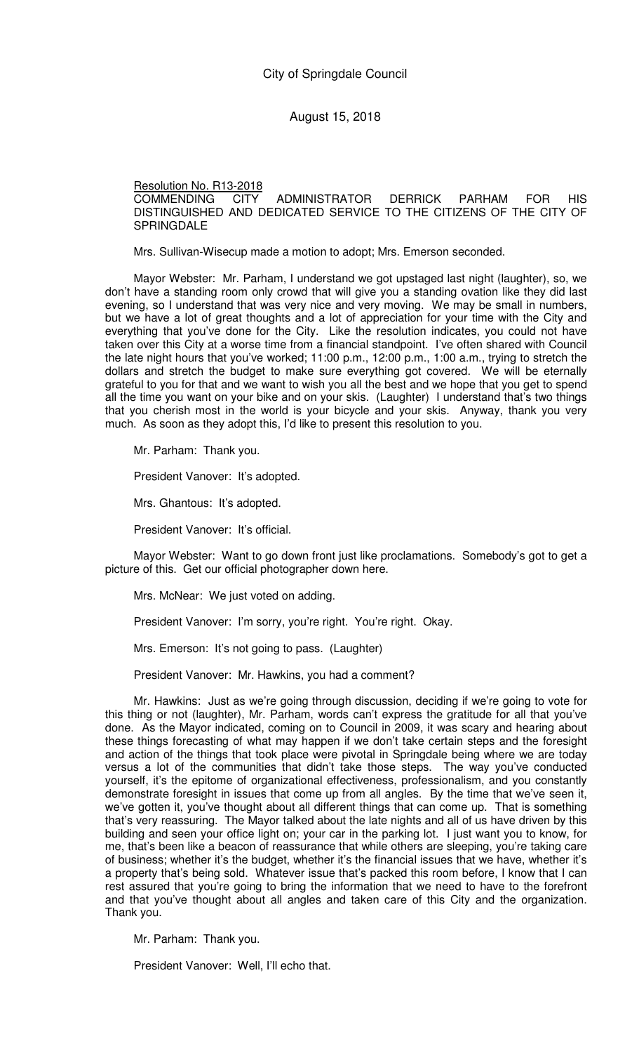### Resolution No. R13-2018

COMMENDING CITY ADMINISTRATOR DERRICK PARHAM FOR HIS DISTINGUISHED AND DEDICATED SERVICE TO THE CITIZENS OF THE CITY OF **SPRINGDALE** 

Mrs. Sullivan-Wisecup made a motion to adopt; Mrs. Emerson seconded.

Mayor Webster: Mr. Parham, I understand we got upstaged last night (laughter), so, we don't have a standing room only crowd that will give you a standing ovation like they did last evening, so I understand that was very nice and very moving. We may be small in numbers, but we have a lot of great thoughts and a lot of appreciation for your time with the City and everything that you've done for the City. Like the resolution indicates, you could not have taken over this City at a worse time from a financial standpoint. I've often shared with Council the late night hours that you've worked; 11:00 p.m., 12:00 p.m., 1:00 a.m., trying to stretch the dollars and stretch the budget to make sure everything got covered. We will be eternally grateful to you for that and we want to wish you all the best and we hope that you get to spend all the time you want on your bike and on your skis. (Laughter) I understand that's two things that you cherish most in the world is your bicycle and your skis. Anyway, thank you very much. As soon as they adopt this, I'd like to present this resolution to you.

Mr. Parham: Thank you.

President Vanover: It's adopted.

Mrs. Ghantous: It's adopted.

President Vanover: It's official.

Mayor Webster: Want to go down front just like proclamations. Somebody's got to get a picture of this. Get our official photographer down here.

Mrs. McNear: We just voted on adding.

President Vanover: I'm sorry, you're right. You're right. Okay.

Mrs. Emerson: It's not going to pass. (Laughter)

President Vanover: Mr. Hawkins, you had a comment?

Mr. Hawkins: Just as we're going through discussion, deciding if we're going to vote for this thing or not (laughter), Mr. Parham, words can't express the gratitude for all that you've done. As the Mayor indicated, coming on to Council in 2009, it was scary and hearing about these things forecasting of what may happen if we don't take certain steps and the foresight and action of the things that took place were pivotal in Springdale being where we are today versus a lot of the communities that didn't take those steps. The way you've conducted yourself, it's the epitome of organizational effectiveness, professionalism, and you constantly demonstrate foresight in issues that come up from all angles. By the time that we've seen it, we've gotten it, you've thought about all different things that can come up. That is something that's very reassuring. The Mayor talked about the late nights and all of us have driven by this building and seen your office light on; your car in the parking lot. I just want you to know, for me, that's been like a beacon of reassurance that while others are sleeping, you're taking care of business; whether it's the budget, whether it's the financial issues that we have, whether it's a property that's being sold. Whatever issue that's packed this room before, I know that I can rest assured that you're going to bring the information that we need to have to the forefront and that you've thought about all angles and taken care of this City and the organization. Thank you.

Mr. Parham: Thank you.

President Vanover: Well, I'll echo that.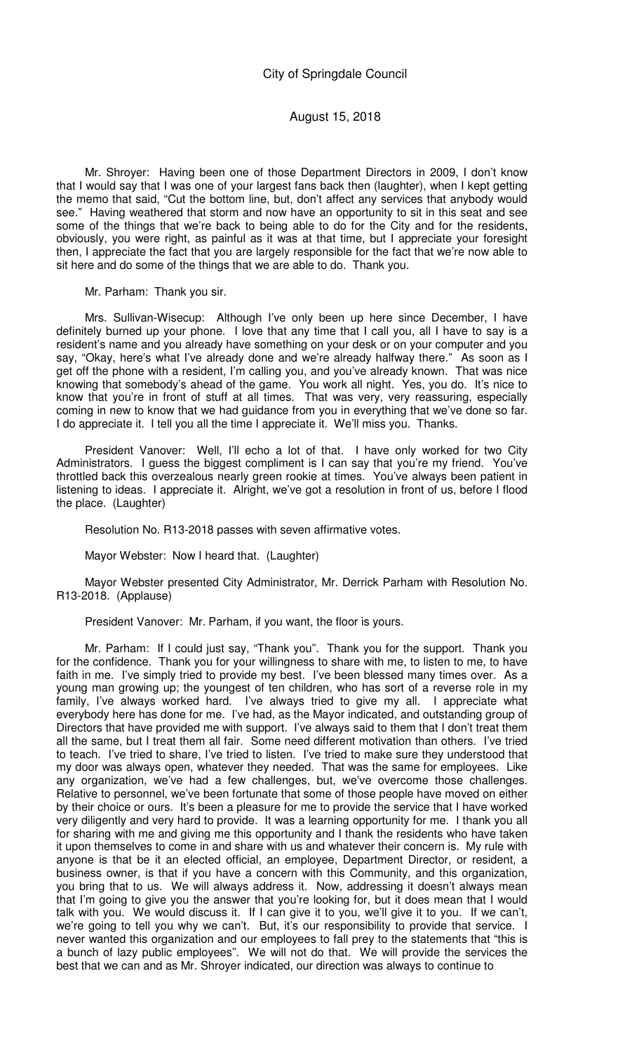Mr. Shroyer: Having been one of those Department Directors in 2009, I don't know that I would say that I was one of your largest fans back then (laughter), when I kept getting the memo that said, "Cut the bottom line, but, don't affect any services that anybody would see." Having weathered that storm and now have an opportunity to sit in this seat and see some of the things that we're back to being able to do for the City and for the residents, obviously, you were right, as painful as it was at that time, but I appreciate your foresight then, I appreciate the fact that you are largely responsible for the fact that we're now able to sit here and do some of the things that we are able to do. Thank you.

Mr. Parham: Thank you sir.

Mrs. Sullivan-Wisecup: Although I've only been up here since December, I have definitely burned up your phone. I love that any time that I call you, all I have to say is a resident's name and you already have something on your desk or on your computer and you say, "Okay, here's what I've already done and we're already halfway there." As soon as I get off the phone with a resident, I'm calling you, and you've already known. That was nice knowing that somebody's ahead of the game. You work all night. Yes, you do. It's nice to know that you're in front of stuff at all times. That was very, very reassuring, especially coming in new to know that we had guidance from you in everything that we've done so far. I do appreciate it. I tell you all the time I appreciate it. We'll miss you. Thanks.

President Vanover: Well, I'll echo a lot of that. I have only worked for two City Administrators. I guess the biggest compliment is I can say that you're my friend. You've throttled back this overzealous nearly green rookie at times. You've always been patient in listening to ideas. I appreciate it. Alright, we've got a resolution in front of us, before I flood the place. (Laughter)

Resolution No. R13-2018 passes with seven affirmative votes.

Mayor Webster: Now I heard that. (Laughter)

Mayor Webster presented City Administrator, Mr. Derrick Parham with Resolution No. R13-2018. (Applause)

President Vanover: Mr. Parham, if you want, the floor is yours.

Mr. Parham: If I could just say, "Thank you". Thank you for the support. Thank you for the confidence. Thank you for your willingness to share with me, to listen to me, to have faith in me. I've simply tried to provide my best. I've been blessed many times over. As a young man growing up; the youngest of ten children, who has sort of a reverse role in my family, I've always worked hard. I've always tried to give my all. I appreciate what everybody here has done for me. I've had, as the Mayor indicated, and outstanding group of Directors that have provided me with support. I've always said to them that I don't treat them all the same, but I treat them all fair. Some need different motivation than others. I've tried to teach. I've tried to share, I've tried to listen. I've tried to make sure they understood that my door was always open, whatever they needed. That was the same for employees. Like any organization, we've had a few challenges, but, we've overcome those challenges. Relative to personnel, we've been fortunate that some of those people have moved on either by their choice or ours. It's been a pleasure for me to provide the service that I have worked very diligently and very hard to provide. It was a learning opportunity for me. I thank you all for sharing with me and giving me this opportunity and I thank the residents who have taken it upon themselves to come in and share with us and whatever their concern is. My rule with anyone is that be it an elected official, an employee, Department Director, or resident, a business owner, is that if you have a concern with this Community, and this organization, you bring that to us. We will always address it. Now, addressing it doesn't always mean that I'm going to give you the answer that you're looking for, but it does mean that I would talk with you. We would discuss it. If I can give it to you, we'll give it to you. If we can't, we're going to tell you why we can't. But, it's our responsibility to provide that service. I never wanted this organization and our employees to fall prey to the statements that "this is a bunch of lazy public employees". We will not do that. We will provide the services the best that we can and as Mr. Shroyer indicated, our direction was always to continue to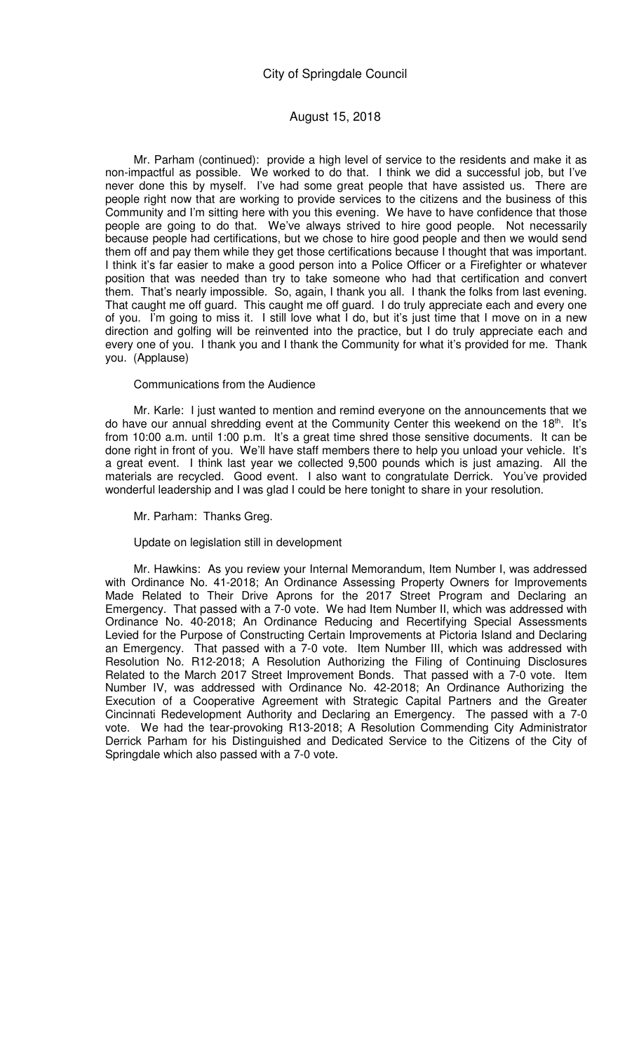Mr. Parham (continued): provide a high level of service to the residents and make it as non-impactful as possible. We worked to do that. I think we did a successful job, but I've never done this by myself. I've had some great people that have assisted us. There are people right now that are working to provide services to the citizens and the business of this Community and I'm sitting here with you this evening. We have to have confidence that those people are going to do that. We've always strived to hire good people. Not necessarily because people had certifications, but we chose to hire good people and then we would send them off and pay them while they get those certifications because I thought that was important. I think it's far easier to make a good person into a Police Officer or a Firefighter or whatever position that was needed than try to take someone who had that certification and convert them. That's nearly impossible. So, again, I thank you all. I thank the folks from last evening. That caught me off guard. This caught me off guard. I do truly appreciate each and every one of you. I'm going to miss it. I still love what I do, but it's just time that I move on in a new direction and golfing will be reinvented into the practice, but I do truly appreciate each and every one of you. I thank you and I thank the Community for what it's provided for me. Thank you. (Applause)

### Communications from the Audience

Mr. Karle: I just wanted to mention and remind everyone on the announcements that we do have our annual shredding event at the Community Center this weekend on the 18th. It's from 10:00 a.m. until 1:00 p.m. It's a great time shred those sensitive documents. It can be done right in front of you. We'll have staff members there to help you unload your vehicle. It's a great event. I think last year we collected 9,500 pounds which is just amazing. All the materials are recycled. Good event. I also want to congratulate Derrick. You've provided wonderful leadership and I was glad I could be here tonight to share in your resolution.

Mr. Parham: Thanks Greg.

Update on legislation still in development

Mr. Hawkins: As you review your Internal Memorandum, Item Number I, was addressed with Ordinance No. 41-2018; An Ordinance Assessing Property Owners for Improvements Made Related to Their Drive Aprons for the 2017 Street Program and Declaring an Emergency. That passed with a 7-0 vote. We had Item Number II, which was addressed with Ordinance No. 40-2018; An Ordinance Reducing and Recertifying Special Assessments Levied for the Purpose of Constructing Certain Improvements at Pictoria Island and Declaring an Emergency. That passed with a 7-0 vote. Item Number III, which was addressed with Resolution No. R12-2018; A Resolution Authorizing the Filing of Continuing Disclosures Related to the March 2017 Street Improvement Bonds. That passed with a 7-0 vote. Item Number IV, was addressed with Ordinance No. 42-2018; An Ordinance Authorizing the Execution of a Cooperative Agreement with Strategic Capital Partners and the Greater Cincinnati Redevelopment Authority and Declaring an Emergency. The passed with a 7-0 vote. We had the tear-provoking R13-2018; A Resolution Commending City Administrator Derrick Parham for his Distinguished and Dedicated Service to the Citizens of the City of Springdale which also passed with a 7-0 vote.